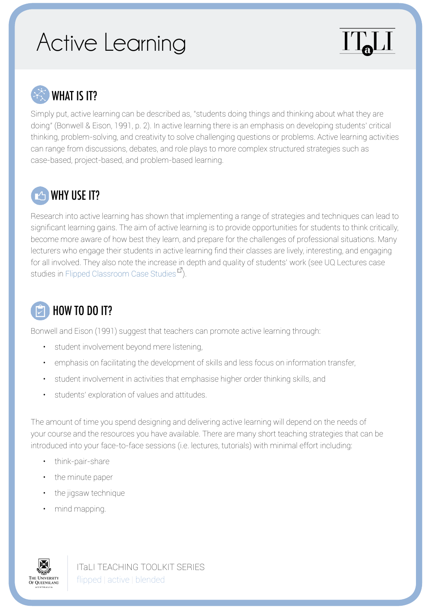## Active Learning





## WHAT IS IT?

Simply put, active learning can be described as, "students doing things and thinking about what they are doing" (Bonwell & Eison, 1991, p. 2). In active learning there is an emphasis on developing students' critical thinking, problem-solving, and creativity to solve challenging questions or problems. Active learning activities can range from discussions, debates, and role plays to more complex structured strategies such as case-based, project-based, and problem-based learning.



Research into active learning has shown that implementing a range of strategies and techniques can lead to significant learning gains. The aim of active learning is to provide opportunities for students to think critically, become more aware of how best they learn, and prepare for the challenges of professional situations. Many lecturers who engage their students in active learning find their classes are lively, interesting, and engaging for all involved. They also note the increase in depth and quality of students' work (see UQ Lectures case studies in [Flipped Classroom Case Studies](http://www.uq.edu.au/teach/flipped-classroom/case-studies.html)<sup>1</sup>.

## HOW TO DO IT?

Bonwell and Eison (1991) suggest that teachers can promote active learning through:

- student involvement beyond mere listening,
- emphasis on facilitating the development of skills and less focus on information transfer,
- student involvement in activities that emphasise higher order thinking skills, and
- students' exploration of values and attitudes.

The amount of time you spend designing and delivering active learning will depend on the needs of your course and the resources you have available. There are many short teaching strategies that can be introduced into your face-to-face sessions (i.e. lectures, tutorials) with minimal effort including:

- think-pair-share
- the minute paper
- the jigsaw technique
- mind mapping.